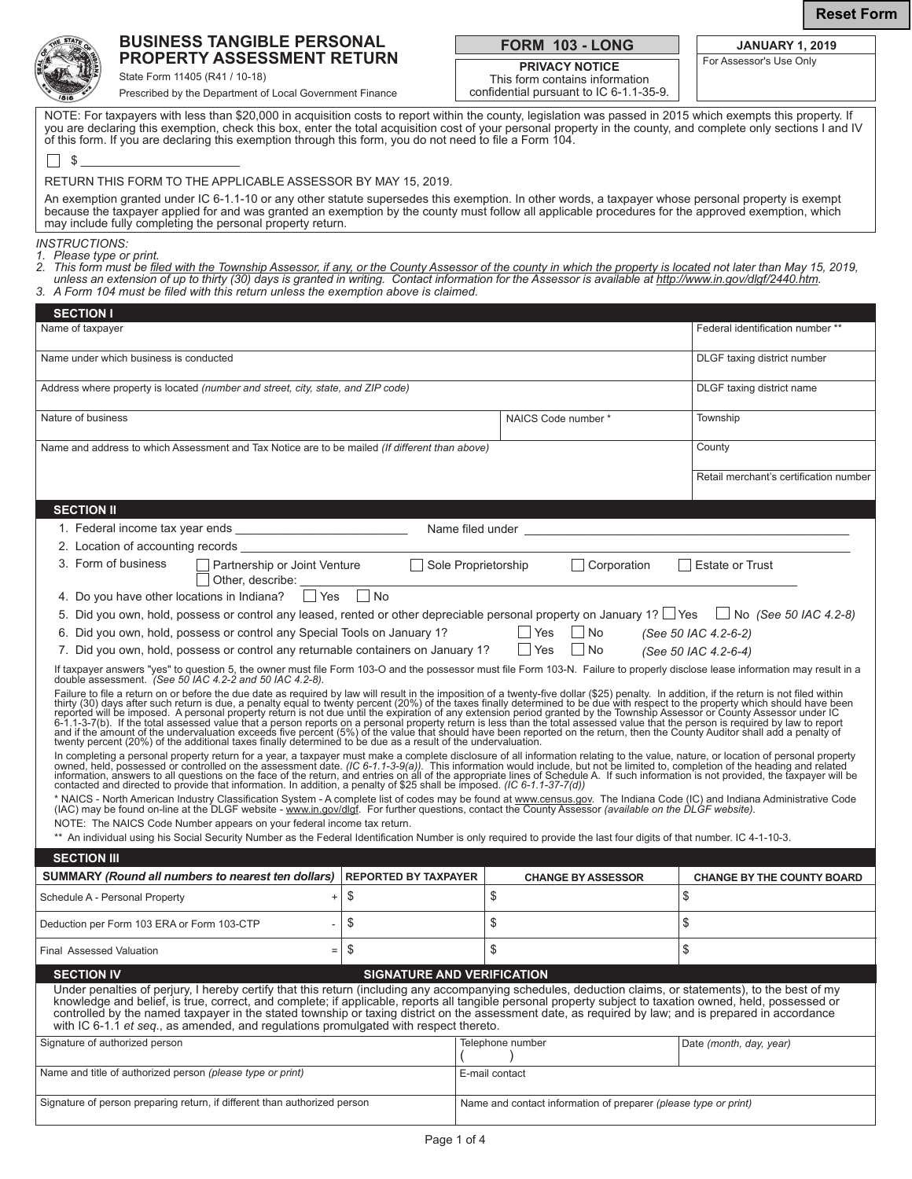

**FORM 103 - LONG**

**PRIVACY NOTICE** This form contains information confidential pursuant to IC 6-1.1-35-9.

| <b>JANUARY 1, 2019</b>  |
|-------------------------|
| For Assessor's Use Only |

| не |
|----|

State Form 11405 (R41 / 10-18) Prescribed by the Department of Local Government Finance

Signature of person preparing return, if different than authorized person

NOTE: For taxpayers with less than \$20,000 in acquisition costs to report within the county, legislation was passed in 2015 which exempts this property. If you are declaring this exemption, check this box, enter the total acquisition cost of your personal property in the county, and complete only sections I and IV of this form. If you are declaring this exemption through this form, you do not need to file a Form 104.

| \$<br>RETURN THIS FORM TO THE APPLICABLE ASSESSOR BY MAY 15, 2019.<br>An exemption granted under IC 6-1.1-10 or any other statute supersedes this exemption. In other words, a taxpayer whose personal property is exempt<br>because the taxpayer applied for and was granted an exemption by the county must follow all applicable procedures for the approved exemption, which<br>may include fully completing the personal property return.                                                                                                                        |                                   |  |                                             |                                        |  |
|-----------------------------------------------------------------------------------------------------------------------------------------------------------------------------------------------------------------------------------------------------------------------------------------------------------------------------------------------------------------------------------------------------------------------------------------------------------------------------------------------------------------------------------------------------------------------|-----------------------------------|--|---------------------------------------------|----------------------------------------|--|
| <b>INSTRUCTIONS:</b><br>1. Please type or print.<br>2. This form must be filed with the Township Assessor, if any, or the County Assessor of the county in which the property is located not later than May 15, 2019,<br>unless an extension of up to thirty (30) days is granted in writing. Contact information for the Assessor is available at http://www.in.gov/dlgf/2440.htm.<br>3. A Form 104 must be filed with this return unless the exemption above is claimed.                                                                                            |                                   |  |                                             |                                        |  |
| <b>SECTION I</b><br>Name of taxpayer                                                                                                                                                                                                                                                                                                                                                                                                                                                                                                                                  |                                   |  |                                             | Federal identification number **       |  |
|                                                                                                                                                                                                                                                                                                                                                                                                                                                                                                                                                                       |                                   |  |                                             |                                        |  |
| Name under which business is conducted                                                                                                                                                                                                                                                                                                                                                                                                                                                                                                                                |                                   |  |                                             | DLGF taxing district number            |  |
| Address where property is located (number and street, city, state, and ZIP code)                                                                                                                                                                                                                                                                                                                                                                                                                                                                                      |                                   |  |                                             | DLGF taxing district name              |  |
| Nature of business                                                                                                                                                                                                                                                                                                                                                                                                                                                                                                                                                    |                                   |  | NAICS Code number *                         | Township                               |  |
| Name and address to which Assessment and Tax Notice are to be mailed (If different than above)                                                                                                                                                                                                                                                                                                                                                                                                                                                                        |                                   |  |                                             | County                                 |  |
|                                                                                                                                                                                                                                                                                                                                                                                                                                                                                                                                                                       |                                   |  |                                             | Retail merchant's certification number |  |
| <b>SECTION II</b>                                                                                                                                                                                                                                                                                                                                                                                                                                                                                                                                                     |                                   |  |                                             |                                        |  |
|                                                                                                                                                                                                                                                                                                                                                                                                                                                                                                                                                                       |                                   |  |                                             |                                        |  |
| 2. Location of accounting records                                                                                                                                                                                                                                                                                                                                                                                                                                                                                                                                     |                                   |  |                                             |                                        |  |
| 3. Form of business<br>Partnership or Joint Venture<br>Other, describe:                                                                                                                                                                                                                                                                                                                                                                                                                                                                                               |                                   |  | Sole Proprietorship<br>Corporation          | Estate or Trust                        |  |
| 4. Do you have other locations in Indiana?   Yes                                                                                                                                                                                                                                                                                                                                                                                                                                                                                                                      | $\Box$ No                         |  |                                             |                                        |  |
| 5. Did you own, hold, possess or control any leased, rented or other depreciable personal property on January 1? Yes Dio (See 50 IAC 4.2-8)                                                                                                                                                                                                                                                                                                                                                                                                                           |                                   |  |                                             |                                        |  |
| 6. Did you own, hold, possess or control any Special Tools on January 1?                                                                                                                                                                                                                                                                                                                                                                                                                                                                                              |                                   |  | Yes<br>  No                                 | (See 50 IAC 4.2-6-2)                   |  |
| 7. Did you own, hold, possess or control any returnable containers on January 1?                                                                                                                                                                                                                                                                                                                                                                                                                                                                                      |                                   |  | Yes<br>l No                                 | (See 50 IAC 4.2-6-4)                   |  |
| If taxpayer answers "yes" to question 5, the owner must file Form 103-O and the possessor must file Form 103-N. Failure to properly disclose lease information may result in a<br>double assessment. (See 50 IAC 4.2-2 and 50 IAC                                                                                                                                                                                                                                                                                                                                     |                                   |  |                                             |                                        |  |
| Failure to file a return on or before the due date as required by law will result in the imposition of a twenty-five dollar (\$25) penalty. In addition, if the return is not filed within thirty (30) days after such return i<br>In completing a personal property return for a year, a taxpayer must make a complete disclosure of all information relating to the value, nature, or location of personal property owned, held, possessed or controlled on th                                                                                                      |                                   |  |                                             |                                        |  |
|                                                                                                                                                                                                                                                                                                                                                                                                                                                                                                                                                                       |                                   |  |                                             |                                        |  |
| * NAICS - North American Industry Classification System - A complete list of codes may be found at <u>www.census.gov</u> . The Indiana Code (IC) and Indiana Administrative Code<br>(IAC) may be found on-line at the DLGF website - <u>w</u>                                                                                                                                                                                                                                                                                                                         |                                   |  |                                             |                                        |  |
| NOTE: The NAICS Code Number appears on your federal income tax return.<br>** An individual using his Social Security Number as the Federal Identification Number is only required to provide the last four digits of that number. IC 4-1-10-3.                                                                                                                                                                                                                                                                                                                        |                                   |  |                                             |                                        |  |
| <b>SECTION III</b>                                                                                                                                                                                                                                                                                                                                                                                                                                                                                                                                                    |                                   |  |                                             |                                        |  |
| <b>SUMMARY (Round all numbers to nearest ten dollars)</b>                                                                                                                                                                                                                                                                                                                                                                                                                                                                                                             | <b>REPORTED BY TAXPAYER</b>       |  | <b>CHANGE BY ASSESSOR</b>                   | <b>CHANGE BY THE COUNTY BOARD</b>      |  |
| Schedule A - Personal Property<br>$\ddot{\phantom{1}}$                                                                                                                                                                                                                                                                                                                                                                                                                                                                                                                | \$                                |  | \$                                          | \$                                     |  |
| Deduction per Form 103 ERA or Form 103-CTP                                                                                                                                                                                                                                                                                                                                                                                                                                                                                                                            | \$                                |  | \$                                          | \$                                     |  |
| <b>Final Assessed Valuation</b><br>$=$                                                                                                                                                                                                                                                                                                                                                                                                                                                                                                                                | \$                                |  | \$                                          | \$                                     |  |
| <b>SECTION IV</b>                                                                                                                                                                                                                                                                                                                                                                                                                                                                                                                                                     | <b>SIGNATURE AND VERIFICATION</b> |  |                                             |                                        |  |
| Under penalties of perjury, I hereby certify that this return (including any accompanying schedules, deduction claims, or statements), to the best of my<br>knowledge and belief, is true, correct, and complete; if applicable, reports all tangible personal property subject to taxation owned, held, possessed or<br>controlled by the named taxpayer in the stated township or taxing district on the assessment date, as required by law; and is prepared in accordance<br>with IC 6-1.1 et seq., as amended, and regulations promulgated with respect thereto. |                                   |  |                                             |                                        |  |
| Signature of authorized person                                                                                                                                                                                                                                                                                                                                                                                                                                                                                                                                        |                                   |  | Telephone number<br>Date (month, day, year) |                                        |  |
| Name and title of authorized person (please type or print)<br>E-mail contact                                                                                                                                                                                                                                                                                                                                                                                                                                                                                          |                                   |  |                                             |                                        |  |

Name and contact information of preparer *(please type or print)*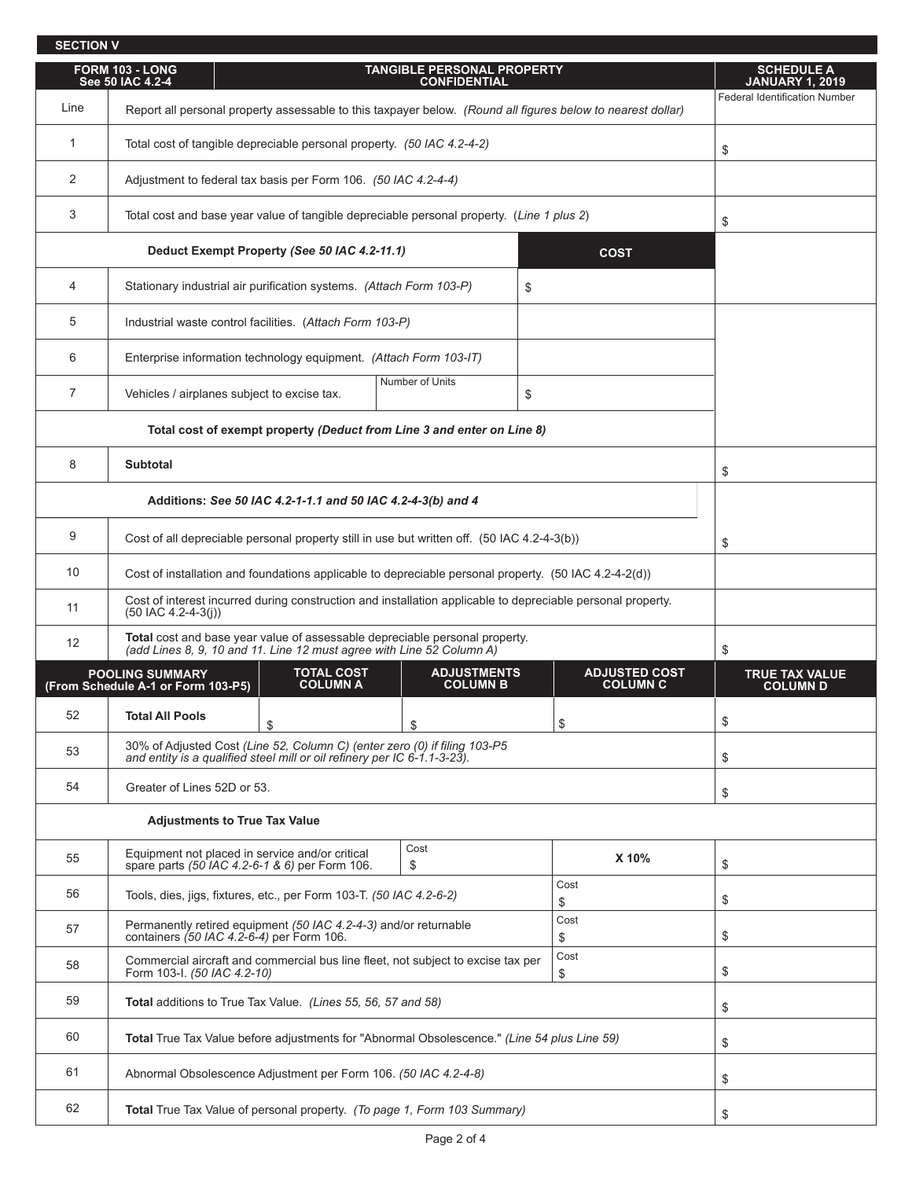| <b>SECTION V</b> |                                                                                                                                                                                  |                                                                                             |                                                          |                                                                                                             |  |  |
|------------------|----------------------------------------------------------------------------------------------------------------------------------------------------------------------------------|---------------------------------------------------------------------------------------------|----------------------------------------------------------|-------------------------------------------------------------------------------------------------------------|--|--|
|                  | FORM 103 - LONG<br>See 50 IAC 4.2-4                                                                                                                                              |                                                                                             | <b>TANGIBLE PERSONAL PROPERTY</b><br><b>CONFIDENTIAL</b> |                                                                                                             |  |  |
| Line             |                                                                                                                                                                                  |                                                                                             |                                                          | Report all personal property assessable to this taxpayer below. (Round all figures below to nearest dollar) |  |  |
| 1                |                                                                                                                                                                                  | Total cost of tangible depreciable personal property. (50 IAC 4.2-4-2)                      |                                                          |                                                                                                             |  |  |
| 2                | Adjustment to federal tax basis per Form 106. (50 IAC 4.2-4-4)                                                                                                                   |                                                                                             |                                                          |                                                                                                             |  |  |
| 3                |                                                                                                                                                                                  | Total cost and base year value of tangible depreciable personal property. (Line 1 plus 2)   |                                                          |                                                                                                             |  |  |
|                  |                                                                                                                                                                                  | Deduct Exempt Property (See 50 IAC 4.2-11.1)                                                |                                                          | <b>COST</b>                                                                                                 |  |  |
| 4                |                                                                                                                                                                                  | Stationary industrial air purification systems. (Attach Form 103-P)                         | \$                                                       |                                                                                                             |  |  |
| 5                |                                                                                                                                                                                  | Industrial waste control facilities. (Attach Form 103-P)                                    |                                                          |                                                                                                             |  |  |
| 6                |                                                                                                                                                                                  | Enterprise information technology equipment. (Attach Form 103-IT)                           |                                                          |                                                                                                             |  |  |
| $\overline{7}$   |                                                                                                                                                                                  | Vehicles / airplanes subject to excise tax.                                                 | Number of Units                                          | \$                                                                                                          |  |  |
|                  |                                                                                                                                                                                  | Total cost of exempt property (Deduct from Line 3 and enter on Line 8)                      |                                                          |                                                                                                             |  |  |
| 8                | <b>Subtotal</b>                                                                                                                                                                  |                                                                                             |                                                          |                                                                                                             |  |  |
|                  |                                                                                                                                                                                  | Additions: See 50 IAC 4.2-1-1.1 and 50 IAC 4.2-4-3(b) and 4                                 |                                                          |                                                                                                             |  |  |
| 9                |                                                                                                                                                                                  | Cost of all depreciable personal property still in use but written off. (50 IAC 4.2-4-3(b)) |                                                          |                                                                                                             |  |  |
| 10               | Cost of installation and foundations applicable to depreciable personal property. (50 IAC 4.2-4-2(d))                                                                            |                                                                                             |                                                          |                                                                                                             |  |  |
| 11               | $(50$ IAC 4.2-4-3(i))                                                                                                                                                            |                                                                                             |                                                          | Cost of interest incurred during construction and installation applicable to depreciable personal property. |  |  |
| 12               | <b>Total</b> cost and base year value of assessable depreciable personal property.<br>$(1)$ and lines 8, 9, 10 and 11, $\lim_{n \to \infty}$ 12 must agree with Line 52 Column 4 |                                                                                             |                                                          |                                                                                                             |  |  |

**SCHEDULE A JANUARY 1, 2019**

Federal Identification Number

\$

\$

\$

\$

| 12                                                           | <b>TOtal</b> cost and base year value of assessable depreciable personal property.<br>(add Lines 8, 9, 10 and 11. Line 12 must agree with Line 52 Column A) | \$                                                                  |                                       |                                         |                                          |  |
|--------------------------------------------------------------|-------------------------------------------------------------------------------------------------------------------------------------------------------------|---------------------------------------------------------------------|---------------------------------------|-----------------------------------------|------------------------------------------|--|
| <b>POOLING SUMMARY</b><br>(From Schedule A-1 or Form 103-P5) |                                                                                                                                                             | <b>TOTAL COST</b><br><b>COLUMN A</b>                                | <b>ADJUSTMENTS</b><br><b>COLUMN B</b> | <b>ADJUSTED COST</b><br><b>COLUMN C</b> | <b>TRUE TAX VALUE</b><br><b>COLUMN D</b> |  |
| 52                                                           | <b>Total All Pools</b>                                                                                                                                      | \$                                                                  | \$                                    | \$                                      | \$                                       |  |
| 53                                                           | 30% of Adjusted Cost (Line 52, Column C) (enter zero (0) if filing 103-P5<br>and entity is a qualified steel mill or oil refinery per IC 6-1.1-3-23).       | \$                                                                  |                                       |                                         |                                          |  |
| 54                                                           | Greater of Lines 52D or 53.                                                                                                                                 |                                                                     |                                       |                                         |                                          |  |
| <b>Adjustments to True Tax Value</b>                         |                                                                                                                                                             |                                                                     |                                       |                                         |                                          |  |
| 55                                                           | Equipment not placed in service and/or critical<br>spare parts (50 IAC 4.2-6-1 & 6) per Form 106.                                                           |                                                                     | X 10%                                 | \$                                      |                                          |  |
| 56                                                           |                                                                                                                                                             | Tools, dies, jigs, fixtures, etc., per Form 103-T. (50 IAC 4.2-6-2) | Cost<br>\$                            | \$                                      |                                          |  |
| 57                                                           | Permanently retired equipment (50 IAC 4.2-4-3) and/or returnable<br>containers (50 IAC 4.2-6-4) per Form 106.                                               | Cost<br>\$                                                          | \$                                    |                                         |                                          |  |
| 58                                                           | Commercial aircraft and commercial bus line fleet, not subject to excise tax per<br>Form 103-I. (50 IAC 4.2-10)                                             | \$                                                                  |                                       |                                         |                                          |  |
| 59                                                           | <b>Total</b> additions to True Tax Value. (Lines 55, 56, 57 and 58)                                                                                         | \$                                                                  |                                       |                                         |                                          |  |
| 60                                                           | Total True Tax Value before adjustments for "Abnormal Obsolescence." (Line 54 plus Line 59)                                                                 | \$                                                                  |                                       |                                         |                                          |  |
| 61                                                           | Abnormal Obsolescence Adjustment per Form 106. (50 IAC 4.2-4-8)                                                                                             | \$                                                                  |                                       |                                         |                                          |  |
| 62                                                           | <b>Total</b> True Tax Value of personal property. (To page 1, Form 103 Summary)                                                                             | \$                                                                  |                                       |                                         |                                          |  |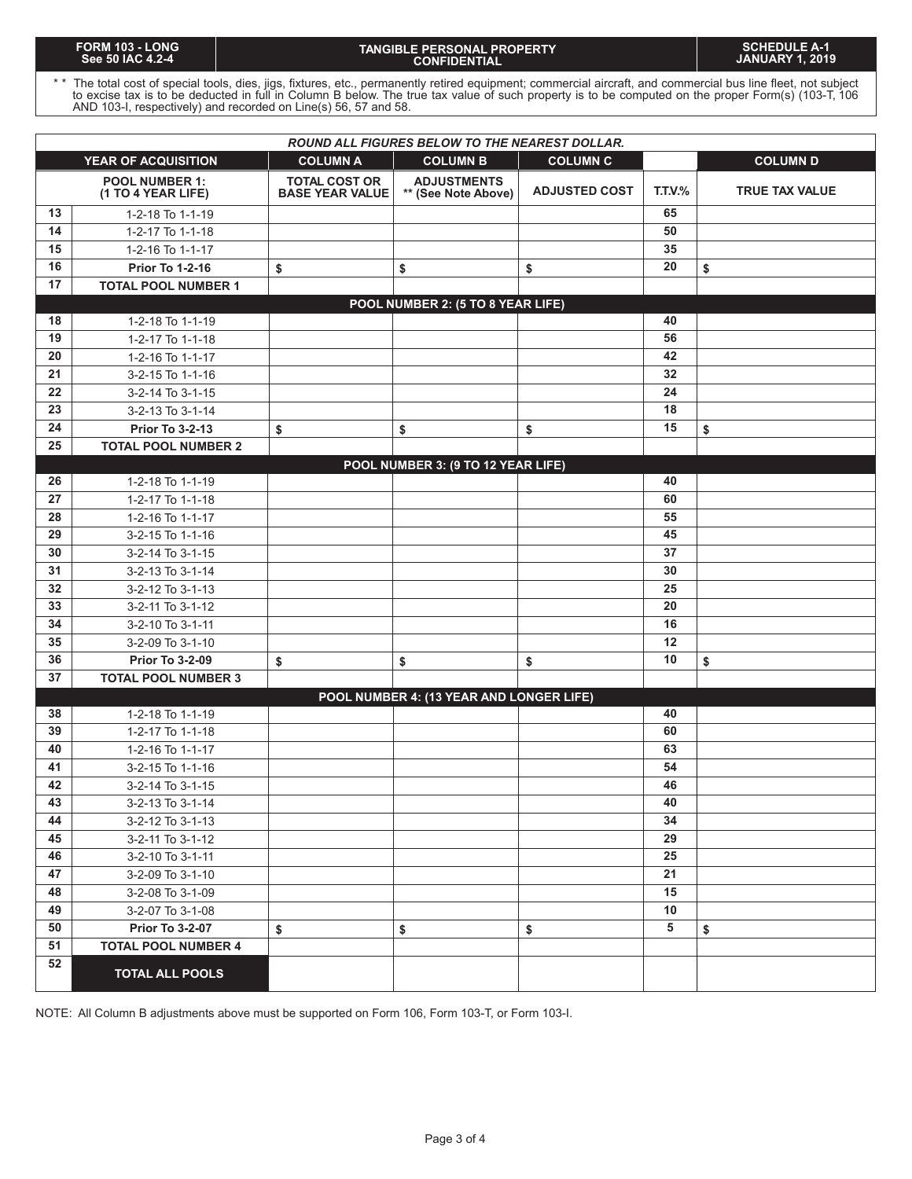#### **TANGIBLE PERSONAL PROPERTY CONFIDENTIAL**

\* \* The total cost of special tools, dies, jigs, fixtures, etc., permanently retired equipment; commercial aircraft, and commercial bus line fleet, not subject to excise tax is to be deducted in full in Column B below. The true tax value of such property is to be computed on the proper Form(s) (103-T, 106 AND 103-I, respectively) and recorded on Line(s) 56, 57 and 58.

| <b>ROUND ALL FIGURES BELOW TO THE NEAREST DOLLAR.</b>                                                  |                                             |                                                |                                           |                      |                |                |  |
|--------------------------------------------------------------------------------------------------------|---------------------------------------------|------------------------------------------------|-------------------------------------------|----------------------|----------------|----------------|--|
| <b>COLUMN D</b><br><b>YEAR OF ACQUISITION</b><br><b>COLUMN A</b><br><b>COLUMN B</b><br><b>COLUMN C</b> |                                             |                                                |                                           |                      |                |                |  |
|                                                                                                        | <b>POOL NUMBER 1:</b><br>(1 TO 4 YEAR LIFE) | <b>TOTAL COST OR</b><br><b>BASE YEAR VALUE</b> | <b>ADJUSTMENTS</b><br>** (See Note Above) | <b>ADJUSTED COST</b> | <b>T.T.V.%</b> | TRUE TAX VALUE |  |
| 13                                                                                                     | 1-2-18 To 1-1-19                            |                                                |                                           |                      | 65             |                |  |
| 14                                                                                                     | 1-2-17 To 1-1-18                            |                                                |                                           |                      | 50             |                |  |
| 15                                                                                                     | 1-2-16 To 1-1-17                            |                                                |                                           |                      | 35             |                |  |
| 16                                                                                                     | <b>Prior To 1-2-16</b>                      | \$                                             | \$                                        | \$                   | 20             | \$             |  |
| 17                                                                                                     | <b>TOTAL POOL NUMBER 1</b>                  |                                                |                                           |                      |                |                |  |
|                                                                                                        |                                             |                                                | POOL NUMBER 2: (5 TO 8 YEAR LIFE)         |                      |                |                |  |
| 18                                                                                                     | 1-2-18 To 1-1-19                            |                                                |                                           |                      | 40             |                |  |
| 19                                                                                                     | 1-2-17 To 1-1-18                            |                                                |                                           |                      | 56             |                |  |
| 20                                                                                                     | 1-2-16 To 1-1-17                            |                                                |                                           |                      | 42             |                |  |
| 21                                                                                                     | 3-2-15 To 1-1-16                            |                                                |                                           |                      | 32             |                |  |
| 22                                                                                                     | 3-2-14 To 3-1-15                            |                                                |                                           |                      | 24             |                |  |
| 23                                                                                                     | 3-2-13 To 3-1-14                            |                                                |                                           |                      | 18             |                |  |
| 24                                                                                                     | <b>Prior To 3-2-13</b>                      | \$                                             | \$                                        | \$                   | 15             | \$             |  |
| 25                                                                                                     | <b>TOTAL POOL NUMBER 2</b>                  |                                                |                                           |                      |                |                |  |
|                                                                                                        |                                             |                                                | POOL NUMBER 3: (9 TO 12 YEAR LIFE)        |                      |                |                |  |
| 26                                                                                                     | 1-2-18 To 1-1-19                            |                                                |                                           |                      | 40             |                |  |
| 27                                                                                                     | 1-2-17 To 1-1-18                            |                                                |                                           |                      | 60             |                |  |
| 28                                                                                                     | 1-2-16 To 1-1-17                            |                                                |                                           |                      | 55             |                |  |
| 29                                                                                                     | 3-2-15 To 1-1-16                            |                                                |                                           |                      | 45             |                |  |
| 30                                                                                                     | 3-2-14 To 3-1-15                            |                                                |                                           |                      | 37             |                |  |
| 31                                                                                                     | 3-2-13 To 3-1-14                            |                                                |                                           |                      | 30             |                |  |
| 32                                                                                                     | 3-2-12 To 3-1-13                            |                                                |                                           |                      | 25             |                |  |
| 33                                                                                                     | 3-2-11 To 3-1-12                            |                                                |                                           |                      | 20             |                |  |
| 34                                                                                                     | 3-2-10 To 3-1-11                            |                                                |                                           |                      | 16             |                |  |
| 35                                                                                                     | 3-2-09 To 3-1-10                            |                                                |                                           |                      | 12             |                |  |
| 36                                                                                                     | <b>Prior To 3-2-09</b>                      | \$                                             | \$                                        | \$                   | 10             | \$             |  |
| 37                                                                                                     | <b>TOTAL POOL NUMBER 3</b>                  |                                                |                                           |                      |                |                |  |
|                                                                                                        |                                             |                                                | POOL NUMBER 4: (13 YEAR AND LONGER LIFE)  |                      |                |                |  |
| 38                                                                                                     | 1-2-18 To 1-1-19                            |                                                |                                           |                      | 40             |                |  |
| 39                                                                                                     | 1-2-17 To 1-1-18                            |                                                |                                           |                      | 60             |                |  |
| 40                                                                                                     | 1-2-16 To 1-1-17                            |                                                |                                           |                      | 63             |                |  |
| 41                                                                                                     | 3-2-15 To 1-1-16                            |                                                |                                           |                      | 54             |                |  |
| 42                                                                                                     | 3-2-14 To 3-1-15                            |                                                |                                           |                      | 46             |                |  |
| 43                                                                                                     | 3-2-13 To 3-1-14                            |                                                |                                           |                      | 40             |                |  |
| 44                                                                                                     | 3-2-12 To 3-1-13                            |                                                |                                           |                      | 34             |                |  |
| 45                                                                                                     | 3-2-11 To 3-1-12                            |                                                |                                           |                      | 29             |                |  |
| 46                                                                                                     | 3-2-10 To 3-1-11                            |                                                |                                           |                      | 25             |                |  |
| 47                                                                                                     | 3-2-09 To 3-1-10                            |                                                |                                           |                      | 21             |                |  |
| 48                                                                                                     | 3-2-08 To 3-1-09                            |                                                |                                           |                      | 15             |                |  |
| 49                                                                                                     | 3-2-07 To 3-1-08                            |                                                |                                           |                      | 10             |                |  |
| 50                                                                                                     | <b>Prior To 3-2-07</b>                      | \$                                             | \$                                        | \$                   | 5              | \$             |  |
| 51                                                                                                     | <b>TOTAL POOL NUMBER 4</b>                  |                                                |                                           |                      |                |                |  |
| 52                                                                                                     | <b>TOTAL ALL POOLS</b>                      |                                                |                                           |                      |                |                |  |

NOTE: All Column B adjustments above must be supported on Form 106, Form 103-T, or Form 103-I.